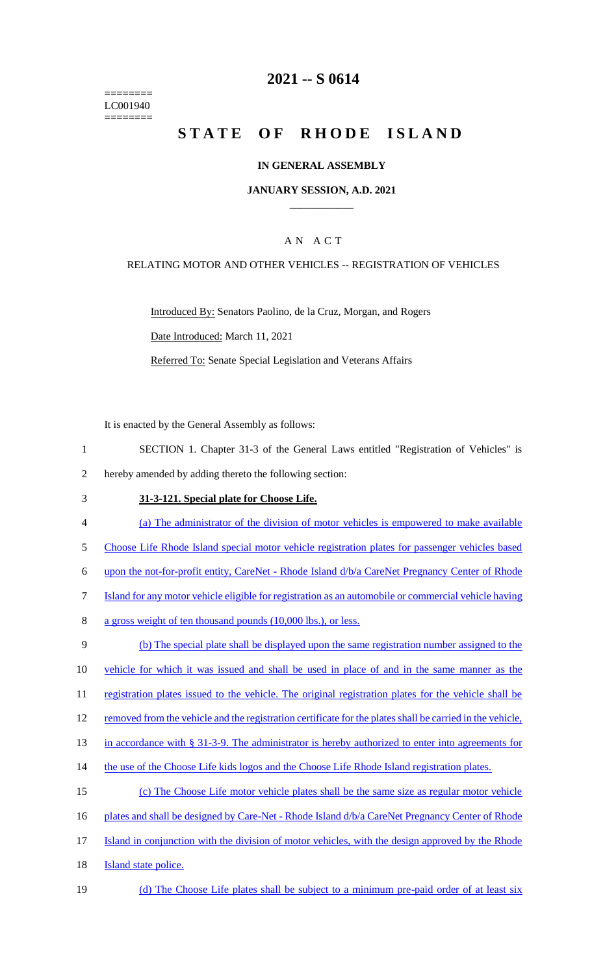======== LC001940 ========

### **2021 -- S 0614**

# **STATE OF RHODE ISLAND**

### **IN GENERAL ASSEMBLY**

### **JANUARY SESSION, A.D. 2021 \_\_\_\_\_\_\_\_\_\_\_\_**

### A N A C T

### RELATING MOTOR AND OTHER VEHICLES -- REGISTRATION OF VEHICLES

Introduced By: Senators Paolino, de la Cruz, Morgan, and Rogers

Date Introduced: March 11, 2021

Referred To: Senate Special Legislation and Veterans Affairs

It is enacted by the General Assembly as follows:

- 1 SECTION 1. Chapter 31-3 of the General Laws entitled "Registration of Vehicles" is 2 hereby amended by adding thereto the following section:
- 3 **31-3-121. Special plate for Choose Life.**
- 4 (a) The administrator of the division of motor vehicles is empowered to make available
- 5 Choose Life Rhode Island special motor vehicle registration plates for passenger vehicles based
- 6 upon the not-for-profit entity, CareNet Rhode Island d/b/a CareNet Pregnancy Center of Rhode
- 7 Island for any motor vehicle eligible for registration as an automobile or commercial vehicle having
- 8 a gross weight of ten thousand pounds (10,000 lbs.), or less.
- 9 (b) The special plate shall be displayed upon the same registration number assigned to the 10 vehicle for which it was issued and shall be used in place of and in the same manner as the
- 11 registration plates issued to the vehicle. The original registration plates for the vehicle shall be
- 12 removed from the vehicle and the registration certificate for the plates shall be carried in the vehicle,

13 in accordance with § 31-3-9. The administrator is hereby authorized to enter into agreements for

- 14 the use of the Choose Life kids logos and the Choose Life Rhode Island registration plates.
- 15 (c) The Choose Life motor vehicle plates shall be the same size as regular motor vehicle
- 16 plates and shall be designed by Care-Net Rhode Island  $d/b/a$  CareNet Pregnancy Center of Rhode
- 17 Island in conjunction with the division of motor vehicles, with the design approved by the Rhode
- 18 **Island state police.**
- 19 (d) The Choose Life plates shall be subject to a minimum pre-paid order of at least six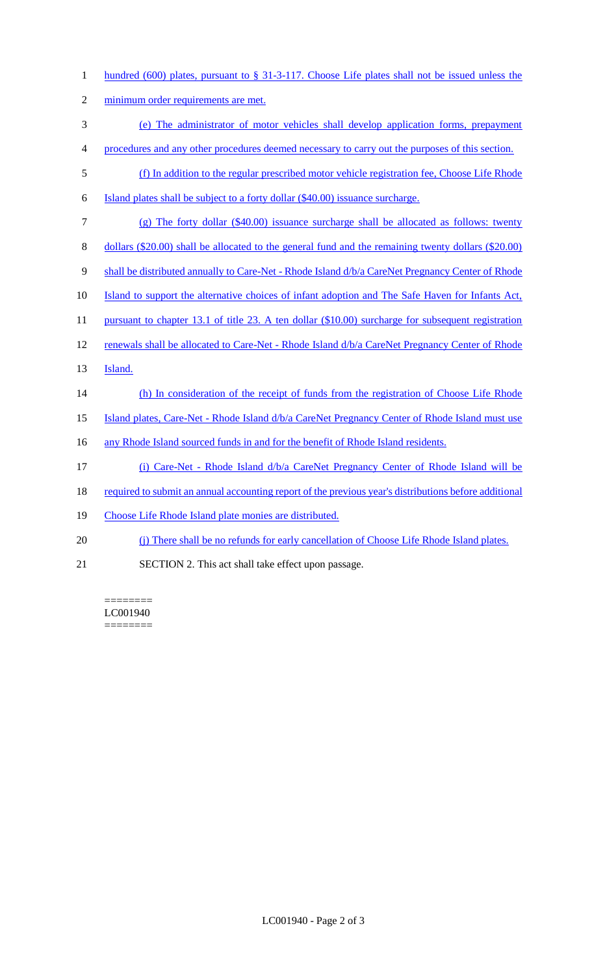| hundred (600) plates, pursuant to $\S 31-3-117$ . Choose Life plates shall not be issued unless the     |
|---------------------------------------------------------------------------------------------------------|
| minimum order requirements are met.                                                                     |
| (e) The administrator of motor vehicles shall develop application forms, prepayment                     |
| procedures and any other procedures deemed necessary to carry out the purposes of this section.         |
| (f) In addition to the regular prescribed motor vehicle registration fee, Choose Life Rhode             |
| Island plates shall be subject to a forty dollar (\$40.00) issuance surcharge.                          |
| $(g)$ The forty dollar (\$40.00) issuance surcharge shall be allocated as follows: twenty               |
| dollars $(\$20.00)$ shall be allocated to the general fund and the remaining twenty dollars $(\$20.00)$ |
| shall be distributed annually to Care-Net - Rhode Island d/b/a CareNet Pregnancy Center of Rhode        |
| Island to support the alternative choices of infant adoption and The Safe Haven for Infants Act,        |
| pursuant to chapter 13.1 of title 23. A ten dollar $(\$10.00)$ surcharge for subsequent registration    |
| renewals shall be allocated to Care-Net - Rhode Island d/b/a CareNet Pregnancy Center of Rhode          |
| Island.                                                                                                 |
| (h) In consideration of the receipt of funds from the registration of Choose Life Rhode                 |
| Island plates, Care-Net - Rhode Island d/b/a CareNet Pregnancy Center of Rhode Island must use          |
| any Rhode Island sourced funds in and for the benefit of Rhode Island residents.                        |
| (i) Care-Net - Rhode Island d/b/a CareNet Pregnancy Center of Rhode Island will be                      |
| required to submit an annual accounting report of the previous year's distributions before additional   |
| Choose Life Rhode Island plate monies are distributed.                                                  |
| (j) There shall be no refunds for early cancellation of Choose Life Rhode Island plates.                |
|                                                                                                         |

21 SECTION 2. This act shall take effect upon passage.

======== LC001940 ========